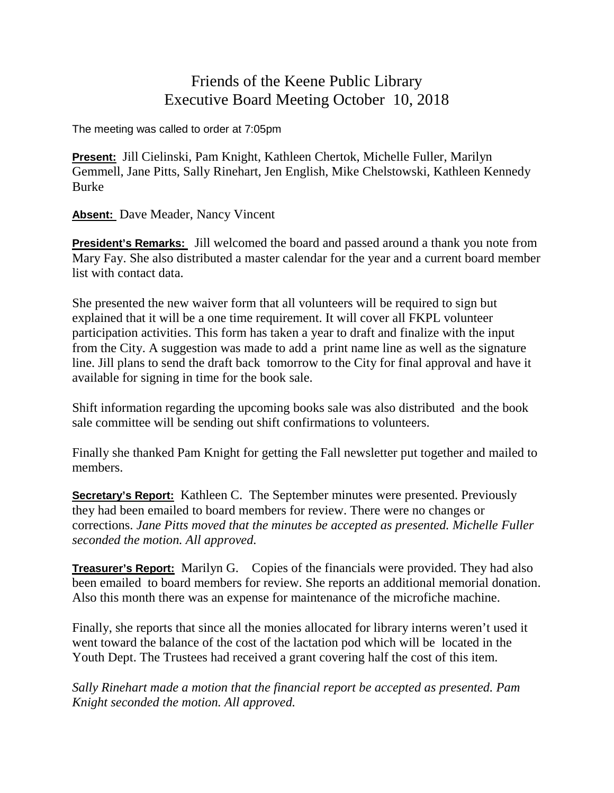## Friends of the Keene Public Library Executive Board Meeting October 10, 2018

The meeting was called to order at 7:05pm

**Present:** Jill Cielinski, Pam Knight, Kathleen Chertok, Michelle Fuller, Marilyn Gemmell, Jane Pitts, Sally Rinehart, Jen English, Mike Chelstowski, Kathleen Kennedy Burke

**Absent:** Dave Meader, Nancy Vincent

**President's Remarks:** Jill welcomed the board and passed around a thank you note from Mary Fay. She also distributed a master calendar for the year and a current board member list with contact data.

She presented the new waiver form that all volunteers will be required to sign but explained that it will be a one time requirement. It will cover all FKPL volunteer participation activities. This form has taken a year to draft and finalize with the input from the City. A suggestion was made to add a print name line as well as the signature line. Jill plans to send the draft back tomorrow to the City for final approval and have it available for signing in time for the book sale.

Shift information regarding the upcoming books sale was also distributed and the book sale committee will be sending out shift confirmations to volunteers.

Finally she thanked Pam Knight for getting the Fall newsletter put together and mailed to members.

**Secretary's Report:** Kathleen C. The September minutes were presented. Previously they had been emailed to board members for review. There were no changes or corrections. *Jane Pitts moved that the minutes be accepted as presented. Michelle Fuller seconded the motion. All approved.*

**Treasurer's Report:** Marilyn G. Copies of the financials were provided. They had also been emailed to board members for review. She reports an additional memorial donation. Also this month there was an expense for maintenance of the microfiche machine.

Finally, she reports that since all the monies allocated for library interns weren't used it went toward the balance of the cost of the lactation pod which will be located in the Youth Dept. The Trustees had received a grant covering half the cost of this item.

*Sally Rinehart made a motion that the financial report be accepted as presented. Pam Knight seconded the motion. All approved.*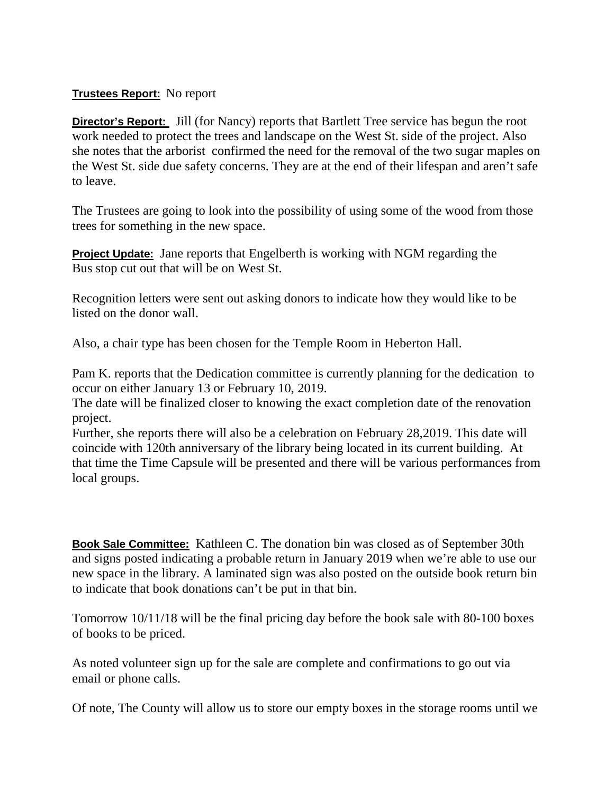## **Trustees Report:** No report

**Director's Report:** Jill (for Nancy) reports that Bartlett Tree service has begun the root work needed to protect the trees and landscape on the West St. side of the project. Also she notes that the arborist confirmed the need for the removal of the two sugar maples on the West St. side due safety concerns. They are at the end of their lifespan and aren't safe to leave.

The Trustees are going to look into the possibility of using some of the wood from those trees for something in the new space.

**Project Update:** Jane reports that Engelberth is working with NGM regarding the Bus stop cut out that will be on West St.

Recognition letters were sent out asking donors to indicate how they would like to be listed on the donor wall.

Also, a chair type has been chosen for the Temple Room in Heberton Hall.

Pam K. reports that the Dedication committee is currently planning for the dedication to occur on either January 13 or February 10, 2019.

The date will be finalized closer to knowing the exact completion date of the renovation project.

Further, she reports there will also be a celebration on February 28,2019. This date will coincide with 120th anniversary of the library being located in its current building. At that time the Time Capsule will be presented and there will be various performances from local groups.

**Book Sale Committee:** Kathleen C. The donation bin was closed as of September 30th and signs posted indicating a probable return in January 2019 when we're able to use our new space in the library. A laminated sign was also posted on the outside book return bin to indicate that book donations can't be put in that bin.

Tomorrow 10/11/18 will be the final pricing day before the book sale with 80-100 boxes of books to be priced.

As noted volunteer sign up for the sale are complete and confirmations to go out via email or phone calls.

Of note, The County will allow us to store our empty boxes in the storage rooms until we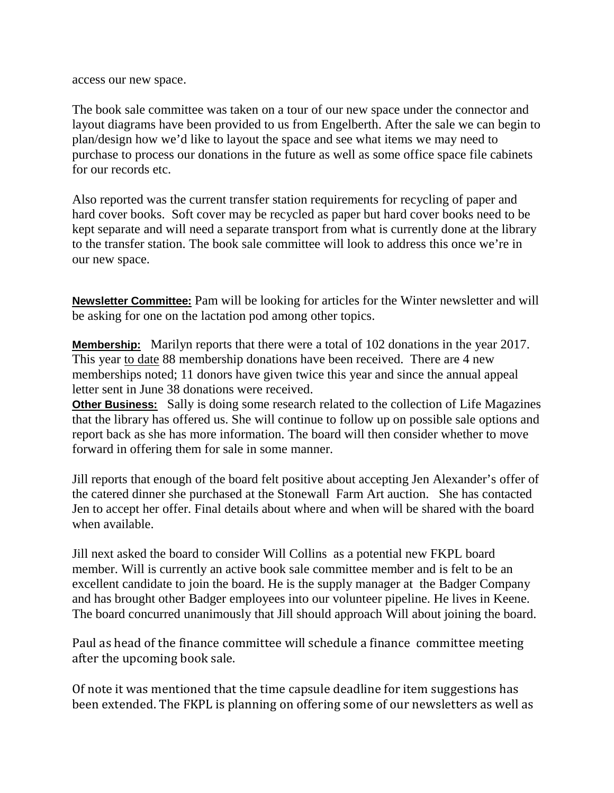access our new space.

The book sale committee was taken on a tour of our new space under the connector and layout diagrams have been provided to us from Engelberth. After the sale we can begin to plan/design how we'd like to layout the space and see what items we may need to purchase to process our donations in the future as well as some office space file cabinets for our records etc.

Also reported was the current transfer station requirements for recycling of paper and hard cover books. Soft cover may be recycled as paper but hard cover books need to be kept separate and will need a separate transport from what is currently done at the library to the transfer station. The book sale committee will look to address this once we're in our new space.

**Newsletter Committee:** Pam will be looking for articles for the Winter newsletter and will be asking for one on the lactation pod among other topics.

**Membership:** Marilyn reports that there were a total of 102 donations in the year 2017. This year to date 88 membership donations have been received. There are 4 new memberships noted; 11 donors have given twice this year and since the annual appeal letter sent in June 38 donations were received.

**Other Business:** Sally is doing some research related to the collection of Life Magazines that the library has offered us. She will continue to follow up on possible sale options and report back as she has more information. The board will then consider whether to move forward in offering them for sale in some manner.

Jill reports that enough of the board felt positive about accepting Jen Alexander's offer of the catered dinner she purchased at the Stonewall Farm Art auction. She has contacted Jen to accept her offer. Final details about where and when will be shared with the board when available.

Jill next asked the board to consider Will Collins as a potential new FKPL board member. Will is currently an active book sale committee member and is felt to be an excellent candidate to join the board. He is the supply manager at the Badger Company and has brought other Badger employees into our volunteer pipeline. He lives in Keene. The board concurred unanimously that Jill should approach Will about joining the board.

Paul as head of the finance committee will schedule a finance committee meeting after the upcoming book sale.

Of note it was mentioned that the time capsule deadline for item suggestions has been extended. The FKPL is planning on offering some of our newsletters as well as